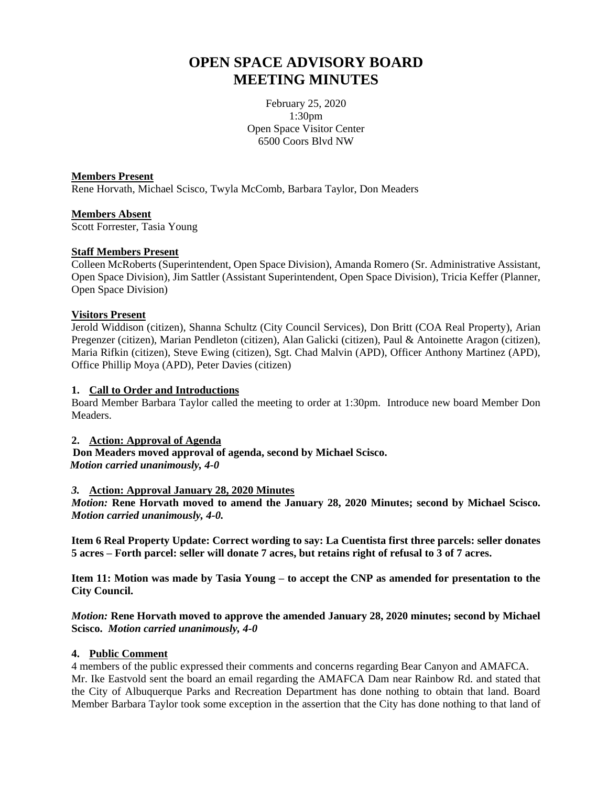# **OPEN SPACE ADVISORY BOARD MEETING MINUTES**

February 25, 2020 1:30pm Open Space Visitor Center 6500 Coors Blvd NW

#### **Members Present**

Rene Horvath, Michael Scisco, Twyla McComb, Barbara Taylor, Don Meaders

#### **Members Absent**

Scott Forrester, Tasia Young

#### **Staff Members Present**

Colleen McRoberts (Superintendent, Open Space Division), Amanda Romero (Sr. Administrative Assistant, Open Space Division), Jim Sattler (Assistant Superintendent, Open Space Division), Tricia Keffer (Planner, Open Space Division)

# **Visitors Present**

Jerold Widdison (citizen), Shanna Schultz (City Council Services), Don Britt (COA Real Property), Arian Pregenzer (citizen), Marian Pendleton (citizen), Alan Galicki (citizen), Paul & Antoinette Aragon (citizen), Maria Rifkin (citizen), Steve Ewing (citizen), Sgt. Chad Malvin (APD), Officer Anthony Martinez (APD), Office Phillip Moya (APD), Peter Davies (citizen)

# **1. Call to Order and Introductions**

Board Member Barbara Taylor called the meeting to order at 1:30pm. Introduce new board Member Don Meaders.

#### **2. Action: Approval of Agenda**

 **Don Meaders moved approval of agenda, second by Michael Scisco.**   *Motion carried unanimously, 4-0*

#### *3.* **Action: Approval January 28, 2020 Minutes**

*Motion:* **Rene Horvath moved to amend the January 28, 2020 Minutes; second by Michael Scisco.**  *Motion carried unanimously, 4-0.*

**Item 6 Real Property Update: Correct wording to say: La Cuentista first three parcels: seller donates 5 acres – Forth parcel: seller will donate 7 acres, but retains right of refusal to 3 of 7 acres.**

**Item 11: Motion was made by Tasia Young – to accept the CNP as amended for presentation to the City Council.**

*Motion:* **Rene Horvath moved to approve the amended January 28, 2020 minutes; second by Michael Scisco.** *Motion carried unanimously, 4-0*

#### **4. Public Comment**

4 members of the public expressed their comments and concerns regarding Bear Canyon and AMAFCA. Mr. Ike Eastvold sent the board an email regarding the AMAFCA Dam near Rainbow Rd. and stated that the City of Albuquerque Parks and Recreation Department has done nothing to obtain that land. Board Member Barbara Taylor took some exception in the assertion that the City has done nothing to that land of